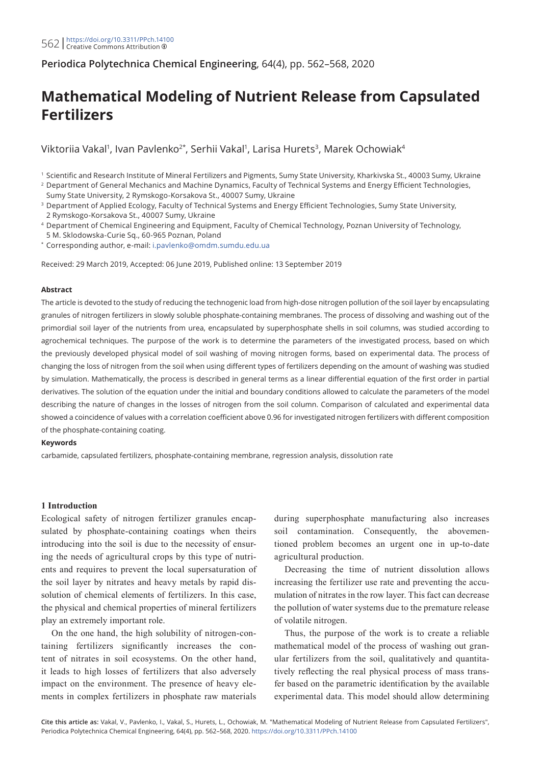**Periodica Polytechnica Chemical Engineering**, 64(4), pp. 562–568, 2020

# **Mathematical Modeling of Nutrient Release from Capsulated Fertilizers**

Viktoriia Vakal', Ivan Pavlenko<sup>2\*</sup>, Serhii Vakal', Larisa Hurets<sup>3</sup>, Marek Ochowiak<sup>4</sup>

<sup>1</sup> Scientific and Research Institute of Mineral Fertilizers and Pigments, Sumy State University, Kharkivska St., 40003 Sumy, Ukraine

<sup>2</sup> Department of General Mechanics and Machine Dynamics, Faculty of Technical Systems and Energy Efficient Technologies, Sumy State University, 2 Rymskogo-Korsakova St., 40007 Sumy, Ukraine

<sup>3</sup> Department of Applied Ecology, Faculty of Technical Systems and Energy Efficient Technologies, Sumy State University, 2 Rymskogo-Korsakova St., 40007 Sumy, Ukraine

<sup>4</sup> Department of Chemical Engineering and Equipment, Faculty of Chemical Technology, Poznan University of Technology, 5 M. Sklodowska-Curie Sq., 60-965 Poznan, Poland

\* Corresponding author, e-mail: [i.pavlenko@omdm.sumdu.edu.ua](mailto:i.pavlenko@omdm.sumdu.edu.ua)

Received: 29 March 2019, Accepted: 06 June 2019, Published online: 13 September 2019

### **Abstract**

The article is devoted to the study of reducing the technogenic load from high-dose nitrogen pollution of the soil layer by encapsulating granules of nitrogen fertilizers in slowly soluble phosphate-containing membranes. The process of dissolving and washing out of the primordial soil layer of the nutrients from urea, encapsulated by superphosphate shells in soil columns, was studied according to agrochemical techniques. The purpose of the work is to determine the parameters of the investigated process, based on which the previously developed physical model of soil washing of moving nitrogen forms, based on experimental data. The process of changing the loss of nitrogen from the soil when using different types of fertilizers depending on the amount of washing was studied by simulation. Mathematically, the process is described in general terms as a linear differential equation of the first order in partial derivatives. The solution of the equation under the initial and boundary conditions allowed to calculate the parameters of the model describing the nature of changes in the losses of nitrogen from the soil column. Comparison of calculated and experimental data showed a coincidence of values with a correlation coefficient above 0.96 for investigated nitrogen fertilizers with different composition of the phosphate-containing coating.

### **Keywords**

carbamide, capsulated fertilizers, phosphate-containing membrane, regression analysis, dissolution rate

### **1 Introduction**

Ecological safety of nitrogen fertilizer granules encapsulated by phosphate-containing coatings when theirs introducing into the soil is due to the necessity of ensuring the needs of agricultural crops by this type of nutrients and requires to prevent the local supersaturation of the soil layer by nitrates and heavy metals by rapid dissolution of chemical elements of fertilizers. In this case, the physical and chemical properties of mineral fertilizers play an extremely important role.

On the one hand, the high solubility of nitrogen-containing fertilizers significantly increases the content of nitrates in soil ecosystems. On the other hand, it leads to high losses of fertilizers that also adversely impact on the environment. The presence of heavy elements in complex fertilizers in phosphate raw materials during superphosphate manufacturing also increases soil contamination. Consequently, the abovementioned problem becomes an urgent one in up-to-date agricultural production.

Decreasing the time of nutrient dissolution allows increasing the fertilizer use rate and preventing the accumulation of nitrates in the row layer. This fact can decrease the pollution of water systems due to the premature release of volatile nitrogen.

Thus, the purpose of the work is to create a reliable mathematical model of the process of washing out granular fertilizers from the soil, qualitatively and quantitatively reflecting the real physical process of mass transfer based on the parametric identification by the available experimental data. This model should allow determining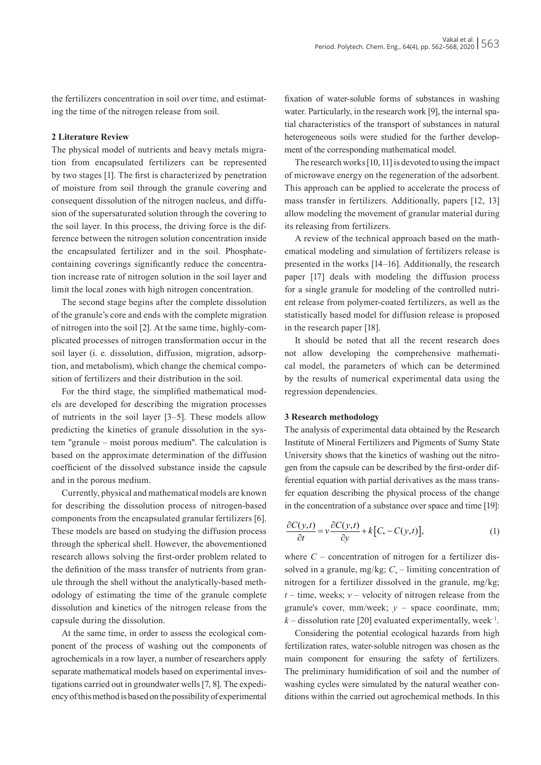the fertilizers concentration in soil over time, and estimating the time of the nitrogen release from soil.

## **2 Literature Review**

The physical model of nutrients and heavy metals migration from encapsulated fertilizers can be represented by two stages [1]. The first is characterized by penetration of moisture from soil through the granule covering and consequent dissolution of the nitrogen nucleus, and diffusion of the supersaturated solution through the covering to the soil layer. In this process, the driving force is the difference between the nitrogen solution concentration inside the encapsulated fertilizer and in the soil. Phosphatecontaining coverings significantly reduce the concentration increase rate of nitrogen solution in the soil layer and limit the local zones with high nitrogen concentration.

The second stage begins after the complete dissolution of the granule's core and ends with the complete migration of nitrogen into the soil [2]. At the same time, highly-complicated processes of nitrogen transformation occur in the soil layer (i. e. dissolution, diffusion, migration, adsorption, and metabolism), which change the chemical composition of fertilizers and their distribution in the soil.

For the third stage, the simplified mathematical models are developed for describing the migration processes of nutrients in the soil layer [3–5]. These models allow predicting the kinetics of granule dissolution in the system "granule – moist porous medium". The calculation is based on the approximate determination of the diffusion coefficient of the dissolved substance inside the capsule and in the porous medium.

Currently, physical and mathematical models are known for describing the dissolution process of nitrogen-based components from the encapsulated granular fertilizers [6]. These models are based on studying the diffusion process through the spherical shell. However, the abovementioned research allows solving the first-order problem related to the definition of the mass transfer of nutrients from granule through the shell without the analytically-based methodology of estimating the time of the granule complete dissolution and kinetics of the nitrogen release from the capsule during the dissolution.

At the same time, in order to assess the ecological component of the process of washing out the components of agrochemicals in a row layer, a number of researchers apply separate mathematical models based on experimental investigations carried out in groundwater wells [7, 8]. The expediency of this method is based on the possibility of experimental

fixation of water-soluble forms of substances in washing water. Particularly, in the research work [9], the internal spatial characteristics of the transport of substances in natural heterogeneous soils were studied for the further development of the corresponding mathematical model.

The research works [10, 11] is devoted to using the impact of microwave energy on the regeneration of the adsorbent. This approach can be applied to accelerate the process of mass transfer in fertilizers. Additionally, papers [12, 13] allow modeling the movement of granular material during its releasing from fertilizers.

A review of the technical approach based on the mathematical modeling and simulation of fertilizers release is presented in the works [14–16]. Additionally, the research paper [17] deals with modeling the diffusion process for a single granule for modeling of the controlled nutrient release from polymer-coated fertilizers, as well as the statistically based model for diffusion release is proposed in the research paper [18].

It should be noted that all the recent research does not allow developing the comprehensive mathematical model, the parameters of which can be determined by the results of numerical experimental data using the regression dependencies.

### **3 Research methodology**

The analysis of experimental data obtained by the Research Institute of Mineral Fertilizers and Pigments of Sumy State University shows that the kinetics of washing out the nitrogen from the capsule can be described by the first-order differential equation with partial derivatives as the mass transfer equation describing the physical process of the change in the concentration of a substance over space and time [19]:

$$
\frac{\partial C(y,t)}{\partial t} = v \frac{\partial C(y,t)}{\partial y} + k \big[ C_* - C(y,t) \big],\tag{1}
$$

where  $C$  – concentration of nitrogen for a fertilizer dissolved in a granule, mg/kg;  $C_*$  – limiting concentration of nitrogen for a fertilizer dissolved in the granule, mg/kg;  $t$  – time, weeks;  $v$  – velocity of nitrogen release from the granule's cover, mm/week; *y* – space coordinate, mm;  $k$  – dissolution rate [20] evaluated experimentally, week<sup>-1</sup>.

Considering the potential ecological hazards from high fertilization rates, water-soluble nitrogen was chosen as the main component for ensuring the safety of fertilizers. The preliminary humidification of soil and the number of washing cycles were simulated by the natural weather conditions within the carried out agrochemical methods. In this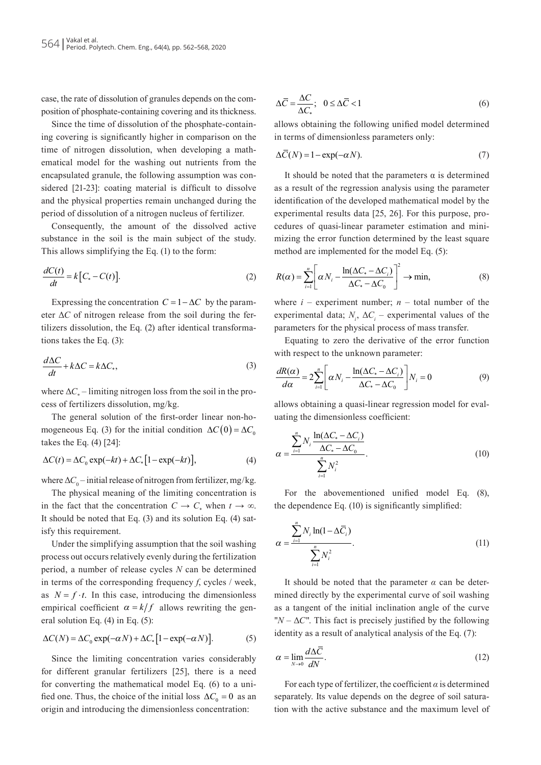case, the rate of dissolution of granules depends on the composition of phosphate-containing covering and its thickness.

Since the time of dissolution of the phosphate-containing covering is significantly higher in comparison on the time of nitrogen dissolution, when developing a mathematical model for the washing out nutrients from the encapsulated granule, the following assumption was considered [21-23]: coating material is difficult to dissolve and the physical properties remain unchanged during the period of dissolution of a nitrogen nucleus of fertilizer.

Consequently, the amount of the dissolved active substance in the soil is the main subject of the study. This allows simplifying the Eq. (1) to the form:

$$
\frac{dC(t)}{dt} = k\big[C_* - C(t)\big].\tag{2}
$$

Expressing the concentration  $C = 1 - \Delta C$  by the parameter Δ*C* of nitrogen release from the soil during the fertilizers dissolution, the Eq. (2) after identical transformations takes the Eq. (3):

$$
\frac{d\Delta C}{dt} + k\Delta C = k\Delta C_*,\tag{3}
$$

where  $\Delta C_*$  – limiting nitrogen loss from the soil in the process of fertilizers dissolution, mg/kg.

The general solution of the first-order linear non-homogeneous Eq. (3) for the initial condition  $\Delta C(0) = \Delta C_0$ takes the Eq.  $(4)$  [24]:

$$
\Delta C(t) = \Delta C_0 \exp(-kt) + \Delta C_* [1 - \exp(-kt)], \qquad (4)
$$

where  $\Delta C_{0}$  – initial release of nitrogen from fertilizer, mg/kg.

The physical meaning of the limiting concentration is in the fact that the concentration  $C \to C_*$  when  $t \to \infty$ . It should be noted that Eq. (3) and its solution Eq. (4) satisfy this requirement.

Under the simplifying assumption that the soil washing process out occurs relatively evenly during the fertilization period, a number of release cycles *N* can be determined in terms of the corresponding frequency *f*, cycles / week, as  $N = f \cdot t$ . In this case, introducing the dimensionless empirical coefficient  $\alpha = k/f$  allows rewriting the general solution Eq. (4) in Eq. (5):

$$
\Delta C(N) = \Delta C_0 \exp(-\alpha N) + \Delta C_* [1 - \exp(-\alpha N)].
$$
 (5)

Since the limiting concentration varies considerably for different granular fertilizers [25], there is a need for converting the mathematical model Eq. (6) to a unified one. Thus, the choice of the initial loss  $\Delta C_0 = 0$  as an origin and introducing the dimensionless concentration:

$$
\Delta \overline{C} = \frac{\Delta C}{\Delta C_*}; \quad 0 \le \Delta \overline{C} < 1 \tag{6}
$$

allows obtaining the following unified model determined in terms of dimensionless parameters only:

$$
\Delta \overline{C}(N) = 1 - \exp(-\alpha N). \tag{7}
$$

It should be noted that the parameters  $\alpha$  is determined as a result of the regression analysis using the parameter identification of the developed mathematical model by the experimental results data [25, 26]. For this purpose, procedures of quasi-linear parameter estimation and minimizing the error function determined by the least square method are implemented for the model Eq. (5):

$$
R(\alpha) = \sum_{i=1}^{n} \left[ \alpha N_i - \frac{\ln(\Delta C_* - \Delta C_i)}{\Delta C_* - \Delta C_0} \right]^2 \to \min,
$$
 (8)

where  $i$  – experiment number;  $n$  – total number of the experimental data;  $N_i$ ,  $\Delta C_i$  – experimental values of the parameters for the physical process of mass transfer.

Equating to zero the derivative of the error function with respect to the unknown parameter:

$$
\frac{dR(\alpha)}{d\alpha} = 2\sum_{i=1}^{n} \left[ \alpha N_i - \frac{\ln(\Delta C_* - \Delta C_i)}{\Delta C_* - \Delta C_0} \right] N_i = 0
$$
\n(9)

allows obtaining a quasi-linear regression model for evaluating the dimensionless coefficient:

$$
\alpha = \frac{\sum_{i=1}^{n} N_i \frac{\ln(\Delta C_* - \Delta C_i)}{\Delta C_* - \Delta C_0}}{\sum_{i=1}^{n} N_i^2}.
$$
\n(10)

For the abovementioned unified model Eq. (8), the dependence Eq. (10) is significantly simplified:

$$
\alpha = \frac{\sum_{i=1}^{n} N_i \ln(1 - \Delta \overline{C}_i)}{\sum_{i=1}^{n} N_i^2}.
$$
\n(11)

It should be noted that the parameter  $\alpha$  can be determined directly by the experimental curve of soil washing as a tangent of the initial inclination angle of the curve " $N - \Delta C$ ". This fact is precisely justified by the following identity as a result of analytical analysis of the Eq. (7):

$$
\alpha = \lim_{N \to 0} \frac{d\Delta \bar{C}}{dN}.
$$
\n(12)

For each type of fertilizer, the coefficient  $\alpha$  is determined separately. Its value depends on the degree of soil saturation with the active substance and the maximum level of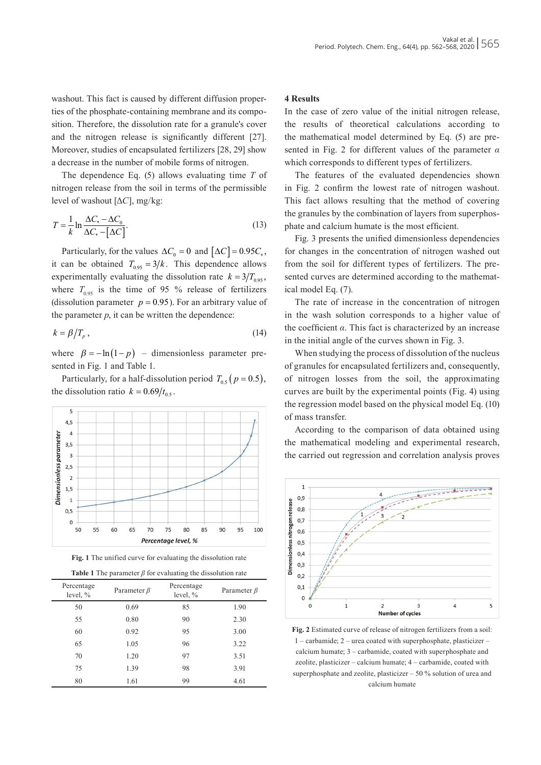washout. This fact is caused by different diffusion properties of the phosphate-containing membrane and its composition. Therefore, the dissolution rate for a granule's cover and the nitrogen release is significantly different [27]. Moreover, studies of encapsulated fertilizers [28, 29] show a decrease in the number of mobile forms of nitrogen.

The dependence Eq. (5) allows evaluating time *T* of nitrogen release from the soil in terms of the permissible level of washout [Δ*C*], mg/kg:

$$
T = \frac{1}{k} \ln \frac{\Delta C_* - \Delta C_0}{\Delta C_* - [\Delta C]}.
$$
\n(13)

Particularly, for the values  $\Delta C_0 = 0$  and  $|\Delta C| = 0.95C_*$ , it can be obtained  $T_{0.95} = 3/k$ . This dependence allows experimentally evaluating the dissolution rate  $k = 3/T_{0.95}$ , where  $T_{0.95}$  is the time of 95 % release of fertilizers (dissolution parameter  $p = 0.95$ ). For an arbitrary value of the parameter  $p$ , it can be written the dependence:

$$
k = \beta / T_p \,, \tag{14}
$$

where  $\beta = -\ln(1-p)$  – dimensionless parameter presented in Fig. 1 and Table 1.

Particularly, for a half-dissolution period  $T_{0.5}$  ( $p = 0.5$ ), the dissolution ratio  $k = 0.69/t_{0.5}$ .



**Fig. 1** The unified curve for evaluating the dissolution rate

| Percentage<br>level, $\%$ | Parameter $\beta$ | Percentage<br>level, $\%$ | Parameter $\beta$ |
|---------------------------|-------------------|---------------------------|-------------------|
| 50                        | 0.69              | 85                        | 1.90              |
| 55                        | 0.80              | 90                        | 2.30              |
| 60                        | 0.92              | 95                        | 3.00              |
| 65                        | 1.05              | 96                        | 3.22              |
| 70                        | 1.20              | 97                        | 3.51              |
| 75                        | 1.39              | 98                        | 3.91              |
| 80                        | 1.61              | 99                        | 4.61              |

#### **4 Results**

In the case of zero value of the initial nitrogen release, the results of theoretical calculations according to the mathematical model determined by Eq. (5) are presented in Fig. 2 for different values of the parameter *α* which corresponds to different types of fertilizers.

The features of the evaluated dependencies shown in Fig. 2 confirm the lowest rate of nitrogen washout. This fact allows resulting that the method of covering the granules by the combination of layers from superphosphate and calcium humate is the most efficient.

Fig. 3 presents the unified dimensionless dependencies for changes in the concentration of nitrogen washed out from the soil for different types of fertilizers. The presented curves are determined according to the mathematical model Eq. (7).

The rate of increase in the concentration of nitrogen in the wash solution corresponds to a higher value of the coefficient *α*. This fact is characterized by an increase in the initial angle of the curves shown in Fig. 3.

When studying the process of dissolution of the nucleus of granules for encapsulated fertilizers and, consequently, of nitrogen losses from the soil, the approximating curves are built by the experimental points (Fig. 4) using the regression model based on the physical model Eq. (10) of mass transfer.

According to the comparison of data obtained using the mathematical modeling and experimental research, the carried out regression and correlation analysis proves



**Fig. 2** Estimated curve of release of nitrogen fertilizers from a soil: 1 – carbamide; 2 – urea coated with superphosphate, plasticizer – calcium humate; 3 – carbamide, coated with superphosphate and zeolite, plasticizer – calcium humate; 4 – carbamide, coated with superphosphate and zeolite, plasticizer  $-50\%$  solution of urea and calcium humate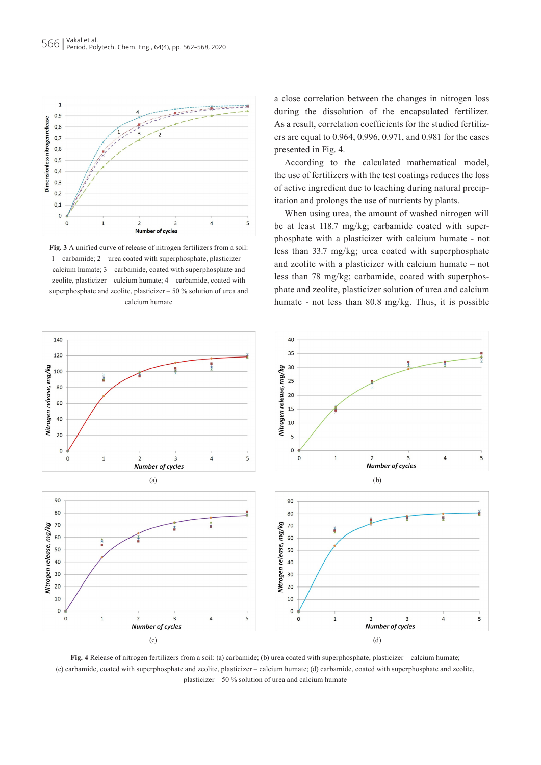

**Fig. 3** A unified curve of release of nitrogen fertilizers from a soil: 1 – carbamide; 2 – urea coated with superphosphate, plasticizer – calcium humate; 3 – carbamide, coated with superphosphate and zeolite, plasticizer – calcium humate; 4 – carbamide, coated with superphosphate and zeolite, plasticizer – 50 % solution of urea and calcium humate

a close correlation between the changes in nitrogen loss during the dissolution of the encapsulated fertilizer. As a result, correlation coefficients for the studied fertilizers are equal to 0.964, 0.996, 0.971, and 0.981 for the cases presented in Fig. 4.

According to the calculated mathematical model, the use of fertilizers with the test coatings reduces the loss of active ingredient due to leaching during natural precipitation and prolongs the use of nutrients by plants.

When using urea, the amount of washed nitrogen will be at least 118.7 mg/kg; carbamide coated with superphosphate with a plasticizer with calcium humate - not less than 33.7 mg/kg; urea coated with superphosphate and zeolite with a plasticizer with calcium humate – not less than 78 mg/kg; carbamide, coated with superphosphate and zeolite, plasticizer solution of urea and calcium humate - not less than 80.8 mg/kg. Thus, it is possible



**Fig. 4** Release of nitrogen fertilizers from a soil: (a) carbamide; (b) urea coated with superphosphate, plasticizer – calcium humate; (c) carbamide, coated with superphosphate and zeolite, plasticizer – calcium humate; (d) carbamide, coated with superphosphate and zeolite, plasticizer – 50 % solution of urea and calcium humate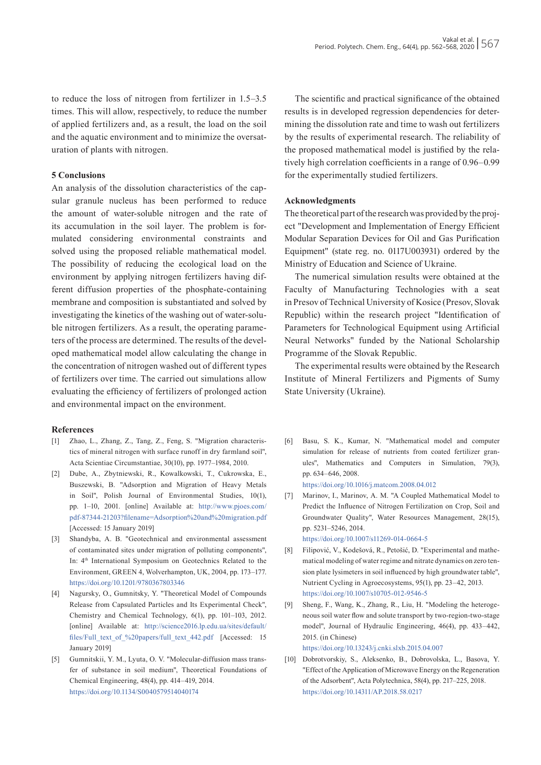to reduce the loss of nitrogen from fertilizer in 1.5–3.5 times. This will allow, respectively, to reduce the number of applied fertilizers and, as a result, the load on the soil and the aquatic environment and to minimize the oversaturation of plants with nitrogen.

# **5 Conclusions**

An analysis of the dissolution characteristics of the capsular granule nucleus has been performed to reduce the amount of water-soluble nitrogen and the rate of its accumulation in the soil layer. The problem is formulated considering environmental constraints and solved using the proposed reliable mathematical model. The possibility of reducing the ecological load on the environment by applying nitrogen fertilizers having different diffusion properties of the phosphate-containing membrane and composition is substantiated and solved by investigating the kinetics of the washing out of water-soluble nitrogen fertilizers. As a result, the operating parameters of the process are determined. The results of the developed mathematical model allow calculating the change in the concentration of nitrogen washed out of different types of fertilizers over time. The carried out simulations allow evaluating the efficiency of fertilizers of prolonged action and environmental impact on the environment.

### **References**

- [1] Zhao, L., Zhang, Z., Tang, Z., Feng, S. "Migration characteristics of mineral nitrogen with surface runoff in dry farmland soil", Acta Scientiae Circumstantiae, 30(10), pp. 1977–1984, 2010.
- [2] Dube, A., Zbytniewski, R., Kowalkowski, T., Cukrowska, E., Buszewski, B. "Adsorption and Migration of Heavy Metals in Soil", Polish Journal of Environmental Studies, 10(1), pp. 1–10, 2001. [online] Available at: [http://www.pjoes.com/](http://www.pjoes.com/pdf-87344-21203?filename=Adsorption%20and%20migration.pdf) [pdf-87344-21203?filename=Adsorption%20and%20migration.pdf](http://www.pjoes.com/pdf-87344-21203?filename=Adsorption%20and%20migration.pdf) [Accessed: 15 January 2019]
- [3] Shandyba, A. B. "Geotechnical and environmental assessment of contaminated sites under migration of polluting components", In: 4th International Symposium on Geotechnics Related to the Environment, GREEN 4, Wolverhampton, UK, 2004, pp. 173–177. <https://doi.org/10.1201/9780367803346>
- [4] Nagursky, O., Gumnitsky, Y. "Theoretical Model of Compounds Release from Capsulated Particles and Its Experimental Check", Chemistry and Chemical Technology, 6(1), pp. 101–103, 2012. [online] Available at: [http://science2016.lp.edu.ua/sites/default/](http://science2016.lp.edu.ua/sites/default/files/Full_text_of_%20papers/full_text_442.pdf) [files/Full\\_text\\_of\\_%20papers/full\\_text\\_442.pdf](http://science2016.lp.edu.ua/sites/default/files/Full_text_of_%20papers/full_text_442.pdf) [Accessed: 15 January 2019]
- [5] Gumnitskii, Y. M., Lyuta, O. V. "Molecular-diffusion mass transfer of substance in soil medium", Theoretical Foundations of Chemical Engineering, 48(4), pp. 414–419, 2014. <https://doi.org/10.1134/S0040579514040174>

The scientific and practical significance of the obtained results is in developed regression dependencies for determining the dissolution rate and time to wash out fertilizers by the results of experimental research. The reliability of the proposed mathematical model is justified by the relatively high correlation coefficients in a range of 0.96–0.99 for the experimentally studied fertilizers.

#### **Acknowledgments**

The theoretical part of the research was provided by the project "Development and Implementation of Energy Efficient Modular Separation Devices for Oil and Gas Purification Equipment" (state reg. no. 0117U003931) ordered by the Ministry of Education and Science of Ukraine.

The numerical simulation results were obtained at the Faculty of Manufacturing Technologies with a seat in Presov of Technical University of Kosice (Presov, Slovak Republic) within the research project "Identification of Parameters for Technological Equipment using Artificial Neural Networks" funded by the National Scholarship Programme of the Slovak Republic.

The experimental results were obtained by the Research Institute of Mineral Fertilizers and Pigments of Sumy State University (Ukraine).

[6] Basu, S. K., Kumar, N. "Mathematical model and computer simulation for release of nutrients from coated fertilizer granules", Mathematics and Computers in Simulation, 79(3), pp. 634–646, 2008.

<https://doi.org/10.1016/j.matcom.2008.04.012>

[7] Marinov, I., Marinov, A. M. "A Coupled Mathematical Model to Predict the Influence of Nitrogen Fertilization on Crop, Soil and Groundwater Quality", Water Resources Management, 28(15), pp. 5231–5246, 2014.

<https://doi.org/10.1007/s11269-014-0664-5>

- [8] Filipović, V., Kodešová, R., Petošić, D. "Experimental and mathematical modeling of water regime and nitrate dynamics on zero tension plate lysimeters in soil influenced by high groundwater table", Nutrient Cycling in Agroecosystems, 95(1), pp. 23–42, 2013. <https://doi.org/10.1007/s10705-012-9546-5>
- [9] Sheng, F., Wang, K., Zhang, R., Liu, H. "Modeling the heterogeneous soil water flow and solute transport by two-region-two-stage model", Journal of Hydraulic Engineering, 46(4), pp. 433–442, 2015. (in Chinese) <https://doi.org/10.13243/j.cnki.slxb.2015.04.007>

```
[10] Dobrotvorskiy, S., Aleksenko, B., Dobrovolska, L., Basova, Y. 
"Effect of the Application of Microwave Energy on the Regeneration 
of the Adsorbent", Acta Polytechnica, 58(4), pp. 217–225, 2018.
https://doi.org/10.14311/AP.2018.58.0217
```